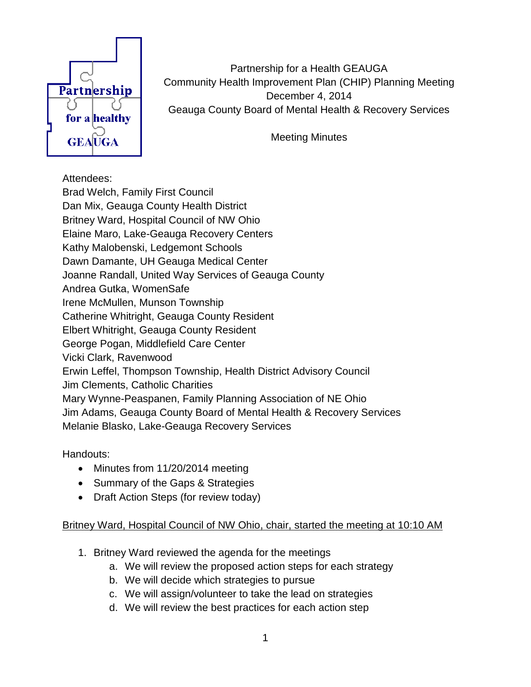

Partnership for a Health GEAUGA Community Health Improvement Plan (CHIP) Planning Meeting December 4, 2014 Geauga County Board of Mental Health & Recovery Services

Meeting Minutes

## Attendees:

Brad Welch, Family First Council Dan Mix, Geauga County Health District Britney Ward, Hospital Council of NW Ohio Elaine Maro, Lake-Geauga Recovery Centers Kathy Malobenski, Ledgemont Schools Dawn Damante, UH Geauga Medical Center Joanne Randall, United Way Services of Geauga County Andrea Gutka, WomenSafe Irene McMullen, Munson Township Catherine Whitright, Geauga County Resident Elbert Whitright, Geauga County Resident George Pogan, Middlefield Care Center Vicki Clark, Ravenwood Erwin Leffel, Thompson Township, Health District Advisory Council Jim Clements, Catholic Charities Mary Wynne-Peaspanen, Family Planning Association of NE Ohio Jim Adams, Geauga County Board of Mental Health & Recovery Services Melanie Blasko, Lake-Geauga Recovery Services

Handouts:

- Minutes from 11/20/2014 meeting
- Summary of the Gaps & Strategies
- Draft Action Steps (for review today)

## Britney Ward, Hospital Council of NW Ohio, chair, started the meeting at 10:10 AM

- 1. Britney Ward reviewed the agenda for the meetings
	- a. We will review the proposed action steps for each strategy
	- b. We will decide which strategies to pursue
	- c. We will assign/volunteer to take the lead on strategies
	- d. We will review the best practices for each action step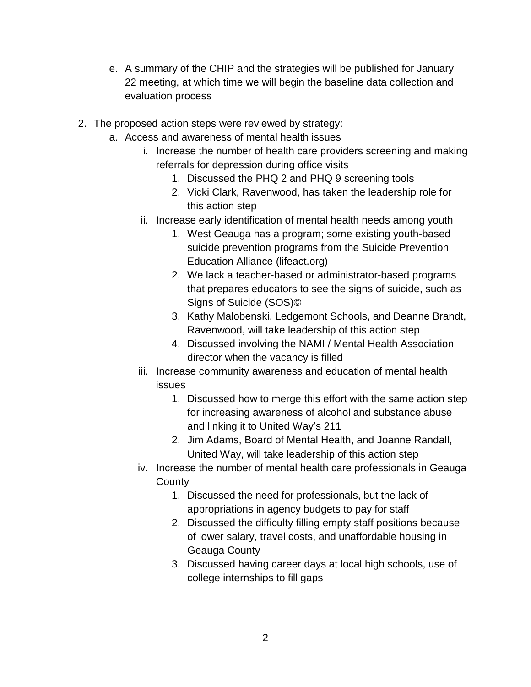- e. A summary of the CHIP and the strategies will be published for January 22 meeting, at which time we will begin the baseline data collection and evaluation process
- 2. The proposed action steps were reviewed by strategy:
	- a. Access and awareness of mental health issues
		- i. Increase the number of health care providers screening and making referrals for depression during office visits
			- 1. Discussed the PHQ 2 and PHQ 9 screening tools
			- 2. Vicki Clark, Ravenwood, has taken the leadership role for this action step
		- ii. Increase early identification of mental health needs among youth
			- 1. West Geauga has a program; some existing youth-based suicide prevention programs from the Suicide Prevention Education Alliance (lifeact.org)
			- 2. We lack a teacher-based or administrator-based programs that prepares educators to see the signs of suicide, such as Signs of Suicide (SOS)©
			- 3. Kathy Malobenski, Ledgemont Schools, and Deanne Brandt, Ravenwood, will take leadership of this action step
			- 4. Discussed involving the NAMI / Mental Health Association director when the vacancy is filled
		- iii. Increase community awareness and education of mental health issues
			- 1. Discussed how to merge this effort with the same action step for increasing awareness of alcohol and substance abuse and linking it to United Way's 211
			- 2. Jim Adams, Board of Mental Health, and Joanne Randall, United Way, will take leadership of this action step
		- iv. Increase the number of mental health care professionals in Geauga **County** 
			- 1. Discussed the need for professionals, but the lack of appropriations in agency budgets to pay for staff
			- 2. Discussed the difficulty filling empty staff positions because of lower salary, travel costs, and unaffordable housing in Geauga County
			- 3. Discussed having career days at local high schools, use of college internships to fill gaps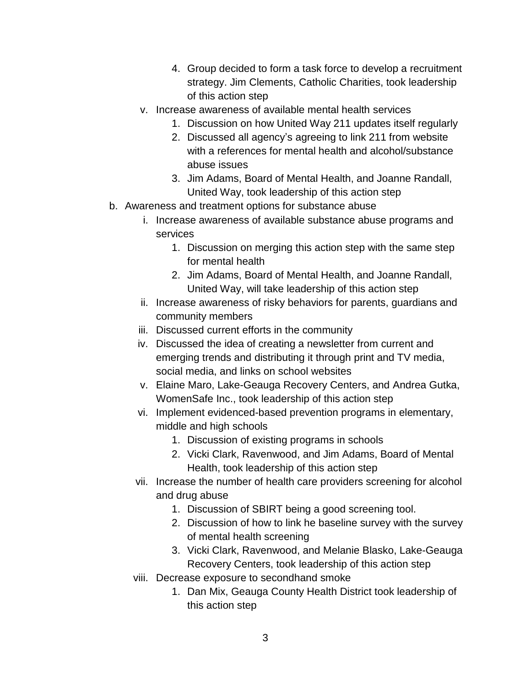- 4. Group decided to form a task force to develop a recruitment strategy. Jim Clements, Catholic Charities, took leadership of this action step
- v. Increase awareness of available mental health services
	- 1. Discussion on how United Way 211 updates itself regularly
	- 2. Discussed all agency's agreeing to link 211 from website with a references for mental health and alcohol/substance abuse issues
	- 3. Jim Adams, Board of Mental Health, and Joanne Randall, United Way, took leadership of this action step
- b. Awareness and treatment options for substance abuse
	- i. Increase awareness of available substance abuse programs and services
		- 1. Discussion on merging this action step with the same step for mental health
		- 2. Jim Adams, Board of Mental Health, and Joanne Randall, United Way, will take leadership of this action step
	- ii. Increase awareness of risky behaviors for parents, guardians and community members
	- iii. Discussed current efforts in the community
	- iv. Discussed the idea of creating a newsletter from current and emerging trends and distributing it through print and TV media, social media, and links on school websites
	- v. Elaine Maro, Lake-Geauga Recovery Centers, and Andrea Gutka, WomenSafe Inc., took leadership of this action step
	- vi. Implement evidenced-based prevention programs in elementary, middle and high schools
		- 1. Discussion of existing programs in schools
		- 2. Vicki Clark, Ravenwood, and Jim Adams, Board of Mental Health, took leadership of this action step
	- vii. Increase the number of health care providers screening for alcohol and drug abuse
		- 1. Discussion of SBIRT being a good screening tool.
		- 2. Discussion of how to link he baseline survey with the survey of mental health screening
		- 3. Vicki Clark, Ravenwood, and Melanie Blasko, Lake-Geauga Recovery Centers, took leadership of this action step
	- viii. Decrease exposure to secondhand smoke
		- 1. Dan Mix, Geauga County Health District took leadership of this action step